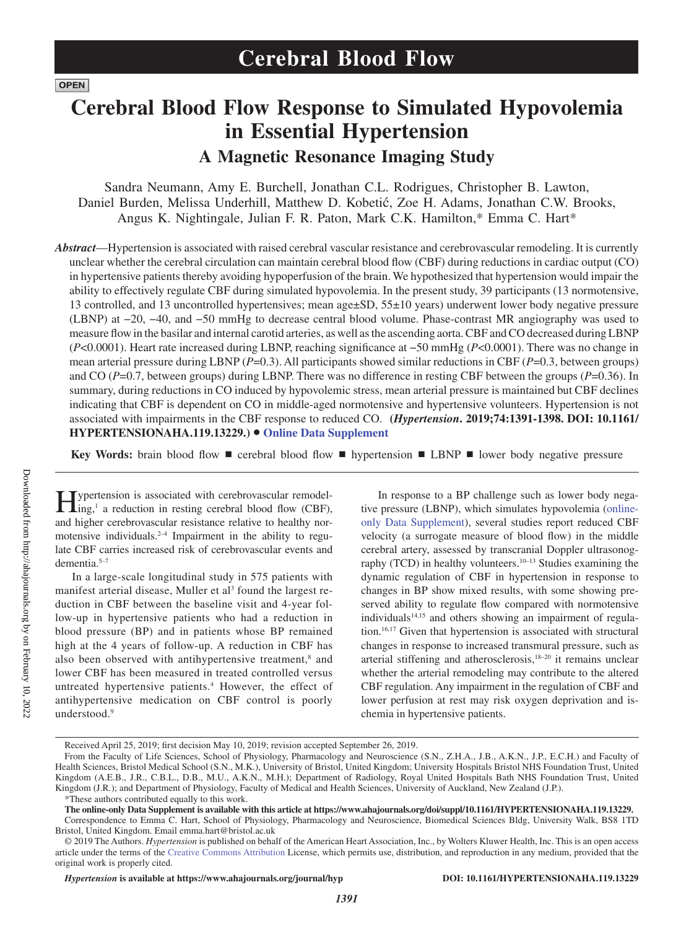**OPEN** 

# **Cerebral Blood Flow Response to Simulated Hypovolemia in Essential Hypertension A Magnetic Resonance Imaging Study**

Sandra Neumann, Amy E. Burchell, Jonathan C.L. Rodrigues, Christopher B. Lawton, Daniel Burden, Melissa Underhill, Matthew D. Kobetić, Zoe H. Adams, Jonathan C.W. Brooks, Angus K. Nightingale, Julian F. R. Paton, Mark C.K. Hamilton,\* Emma C. Hart\*

*Abstract*—Hypertension is associated with raised cerebral vascular resistance and cerebrovascular remodeling. It is currently unclear whether the cerebral circulation can maintain cerebral blood flow (CBF) during reductions in cardiac output (CO) in hypertensive patients thereby avoiding hypoperfusion of the brain. We hypothesized that hypertension would impair the ability to effectively regulate CBF during simulated hypovolemia. In the present study, 39 participants (13 normotensive, 13 controlled, and 13 uncontrolled hypertensives; mean age±SD, 55±10 years) underwent lower body negative pressure (LBNP) at −20, −40, and −50 mmHg to decrease central blood volume. Phase-contrast MR angiography was used to measure flow in the basilar and internal carotid arteries, as well as the ascending aorta. CBF and CO decreased during LBNP (*P*<0.0001). Heart rate increased during LBNP, reaching significance at −50 mmHg (*P*<0.0001). There was no change in mean arterial pressure during LBNP (*P*=0.3). All participants showed similar reductions in CBF (*P*=0.3, between groups) and CO (*P*=0.7, between groups) during LBNP. There was no difference in resting CBF between the groups (*P*=0.36). In summary, during reductions in CO induced by hypovolemic stress, mean arterial pressure is maintained but CBF declines indicating that CBF is dependent on CO in middle-aged normotensive and hypertensive volunteers. Hypertension is not associated with impairments in the CBF response to reduced CO. **(***Hypertension***. 2019;74:1391-1398. DOI: 10.1161/ HYPERTENSIONAHA.119.13229.)**• **Online Data Supplement**

**Key Words:** brain blood flow ■ cerebral blood flow ■ hypertension ■ LBNP ■ lower body negative pressure

ypertension is associated with cerebrovascular remodeling,<sup>1</sup> a reduction in resting cerebral blood flow (CBF), and higher cerebrovascular resistance relative to healthy normotensive individuals. $2-4$  Impairment in the ability to regulate CBF carries increased risk of cerebrovascular events and dementia.5–7

In a large-scale longitudinal study in 575 patients with manifest arterial disease, Muller et al<sup>3</sup> found the largest reduction in CBF between the baseline visit and 4-year follow-up in hypertensive patients who had a reduction in blood pressure (BP) and in patients whose BP remained high at the 4 years of follow-up. A reduction in CBF has also been observed with antihypertensive treatment,<sup>8</sup> and lower CBF has been measured in treated controlled versus untreated hypertensive patients.4 However, the effect of antihypertensive medication on CBF control is poorly understood.<sup>9</sup>

In response to a BP challenge such as lower body negative pressure (LBNP), which simulates hypovolemia (onlineonly Data Supplement), several studies report reduced CBF velocity (a surrogate measure of blood flow) in the middle cerebral artery, assessed by transcranial Doppler ultrasonography (TCD) in healthy volunteers.10–13 Studies examining the dynamic regulation of CBF in hypertension in response to changes in BP show mixed results, with some showing preserved ability to regulate flow compared with normotensive individuals<sup>14,15</sup> and others showing an impairment of regulation.16,17 Given that hypertension is associated with structural changes in response to increased transmural pressure, such as arterial stiffening and atherosclerosis, $18-20$  it remains unclear whether the arterial remodeling may contribute to the altered CBF regulation. Any impairment in the regulation of CBF and lower perfusion at rest may risk oxygen deprivation and ischemia in hypertensive patients.

*1391*

Received April 25, 2019; first decision May 10, 2019; revision accepted September 26, 2019.

From the Faculty of Life Sciences, School of Physiology, Pharmacology and Neuroscience (S.N., Z.H.A., J.B., A.K.N., J.P., E.C.H.) and Faculty of Health Sciences, Bristol Medical School (S.N., M.K.), University of Bristol, United Kingdom; University Hospitals Bristol NHS Foundation Trust, United Kingdom (A.E.B., J.R., C.B.L., D.B., M.U., A.K.N., M.H.); Department of Radiology, Royal United Hospitals Bath NHS Foundation Trust, United Kingdom (J.R.); and Department of Physiology, Faculty of Medical and Health Sciences, University of Auckland, New Zealand (J.P.). \*These authors contributed equally to this work.

**The online-only Data Supplement is available with this article at https://www.ahajournals.org/doi/suppl/10.1161/HYPERTENSIONAHA.119.13229.** Correspondence to Emma C. Hart, School of Physiology, Pharmacology and Neuroscience, Biomedical Sciences Bldg, University Walk, BS8 1TD Bristol, United Kingdom. Email [emma.hart@bristol.ac.uk](mailto:emma.hart@bristol.ac.uk)

<sup>© 2019</sup> The Authors. *Hypertension* is published on behalf of the American Heart Association, Inc., by Wolters Kluwer Health, Inc. This is an open access article under the terms of the Creative Commons Attribution License, which permits use, distribution, and reproduction in any medium, provided that the original work is properly cited.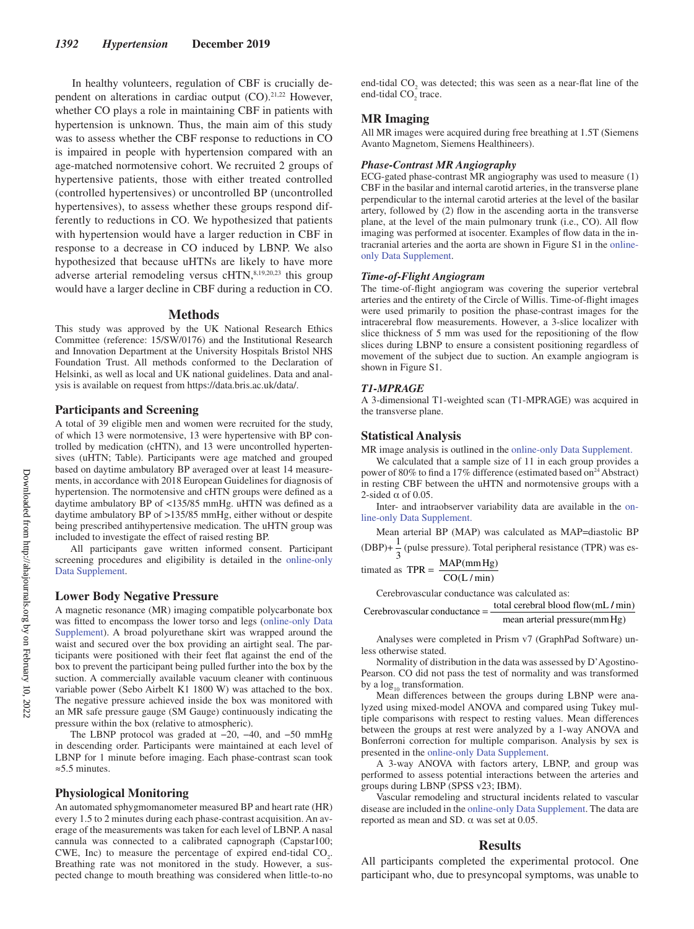In healthy volunteers, regulation of CBF is crucially dependent on alterations in cardiac output  $(CO)$ .<sup>21,22</sup> However, whether CO plays a role in maintaining CBF in patients with hypertension is unknown. Thus, the main aim of this study was to assess whether the CBF response to reductions in CO is impaired in people with hypertension compared with an age-matched normotensive cohort. We recruited 2 groups of hypertensive patients, those with either treated controlled (controlled hypertensives) or uncontrolled BP (uncontrolled hypertensives), to assess whether these groups respond differently to reductions in CO. We hypothesized that patients with hypertension would have a larger reduction in CBF in response to a decrease in CO induced by LBNP. We also hypothesized that because uHTNs are likely to have more adverse arterial remodeling versus cHTN,<sup>8,19,20,23</sup> this group would have a larger decline in CBF during a reduction in CO.

#### **Methods**

This study was approved by the UK National Research Ethics Committee (reference: 15/SW/0176) and the Institutional Research and Innovation Department at the University Hospitals Bristol NHS Foundation Trust. All methods conformed to the Declaration of Helsinki, as well as local and UK national guidelines. Data and analysis is available on request from https://data.bris.ac.uk/data/.

## **Participants and Screening**

A total of 39 eligible men and women were recruited for the study, of which 13 were normotensive, 13 were hypertensive with BP controlled by medication (cHTN), and 13 were uncontrolled hypertensives (uHTN; Table). Participants were age matched and grouped based on daytime ambulatory BP averaged over at least 14 measurements, in accordance with 2018 European Guidelines for diagnosis of hypertension. The normotensive and cHTN groups were defined as a daytime ambulatory BP of <135/85 mmHg. uHTN was defined as a daytime ambulatory BP of >135/85 mmHg, either without or despite being prescribed antihypertensive medication. The uHTN group was included to investigate the effect of raised resting BP.

All participants gave written informed consent. Participant screening procedures and eligibility is detailed in the online-only Data Supplement.

# **Lower Body Negative Pressure**

A magnetic resonance (MR) imaging compatible polycarbonate box was fitted to encompass the lower torso and legs (online-only Data Supplement). A broad polyurethane skirt was wrapped around the waist and secured over the box providing an airtight seal. The participants were positioned with their feet flat against the end of the box to prevent the participant being pulled further into the box by the suction. A commercially available vacuum cleaner with continuous variable power (Sebo Airbelt K1 1800 W) was attached to the box. The negative pressure achieved inside the box was monitored with an MR safe pressure gauge (SM Gauge) continuously indicating the pressure within the box (relative to atmospheric).

The LBNP protocol was graded at −20, −40, and −50 mmHg in descending order. Participants were maintained at each level of LBNP for 1 minute before imaging. Each phase-contrast scan took ≈5.5 minutes.

# **Physiological Monitoring**

An automated sphygmomanometer measured BP and heart rate (HR) every 1.5 to 2 minutes during each phase-contrast acquisition. An average of the measurements was taken for each level of LBNP. A nasal cannula was connected to a calibrated capnograph (Capstar100; CWE, Inc) to measure the percentage of expired end-tidal  $CO<sub>2</sub>$ . Breathing rate was not monitored in the study. However, a suspected change to mouth breathing was considered when little-to-no end-tidal  $CO_2$  was detected; this was seen as a near-flat line of the end-tidal  $CO_2^-$  trace.

# **MR Imaging**

All MR images were acquired during free breathing at 1.5T (Siemens Avanto Magnetom, Siemens Healthineers).

#### *Phase-Contrast MR Angiography*

ECG-gated phase-contrast MR angiography was used to measure (1) CBF in the basilar and internal carotid arteries, in the transverse plane perpendicular to the internal carotid arteries at the level of the basilar artery, followed by (2) flow in the ascending aorta in the transverse plane, at the level of the main pulmonary trunk (i.e., CO). All flow imaging was performed at isocenter. Examples of flow data in the intracranial arteries and the aorta are shown in Figure S1 in the onlineonly Data Supplement.

#### *Time-of-Flight Angiogram*

The time-of-flight angiogram was covering the superior vertebral arteries and the entirety of the Circle of Willis. Time-of-flight images were used primarily to position the phase-contrast images for the intracerebral flow measurements. However, a 3-slice localizer with slice thickness of 5 mm was used for the repositioning of the flow slices during LBNP to ensure a consistent positioning regardless of movement of the subject due to suction. An example angiogram is shown in Figure S1.

#### *T1-MPRAGE*

A 3-dimensional T1-weighted scan (T1-MPRAGE) was acquired in the transverse plane.

# **Statistical Analysis**

MR image analysis is outlined in the online-only Data Supplement.

We calculated that a sample size of 11 in each group provides a power of 80% to find a 17% difference (estimated based on<sup>24</sup> Abstract) in resting CBF between the uHTN and normotensive groups with a 2-sided  $\alpha$  of 0.05.

Inter- and intraobserver variability data are available in the online-only Data Supplement.

Mean arterial BP (MAP) was calculated as MAP=diastolic BP  $(DBP) + \frac{1}{3}$  (pulse pressure). Total peripheral resistance (TPR) was es-

$$
timated as TPR = \frac{MAP(mmHg)}{CO(L/min)}
$$

Cerebrovascular conductance was calculated as:

```
Cerebrovascular conductance = \frac{\text{total cerebral blood flow (mL / min)}}{\text{total cost of the total}}mean arterial pressure (mm Hg)
```
Analyses were completed in Prism v7 (GraphPad Software) unless otherwise stated.

Normality of distribution in the data was assessed by D'Agostino-Pearson. CO did not pass the test of normality and was transformed by a  $\log_{10}$  transformation.

Mean differences between the groups during LBNP were analyzed using mixed-model ANOVA and compared using Tukey multiple comparisons with respect to resting values. Mean differences between the groups at rest were analyzed by a 1-way ANOVA and Bonferroni correction for multiple comparison. Analysis by sex is presented in the online-only Data Supplement.

A 3-way ANOVA with factors artery, LBNP, and group was performed to assess potential interactions between the arteries and groups during LBNP (SPSS v23; IBM).

Vascular remodeling and structural incidents related to vascular disease are included in the online-only Data Supplement. The data are reported as mean and SD. α was set at 0.05.

## **Results**

All participants completed the experimental protocol. One participant who, due to presyncopal symptoms, was unable to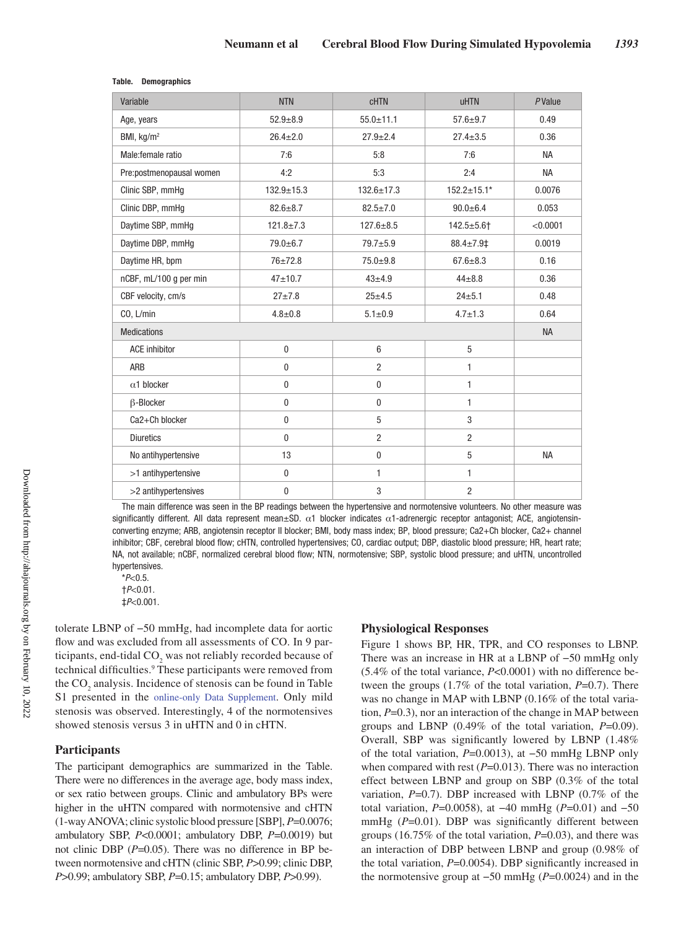| Variable                 | <b>NTN</b>      | <b>CHTN</b>      | <b>uHTN</b>        | PValue    |
|--------------------------|-----------------|------------------|--------------------|-----------|
| Age, years               | $52.9 + 8.9$    | $55.0 \pm 11.1$  | $57.6 + 9.7$       | 0.49      |
| BMI, kg/m <sup>2</sup>   | $26.4 \pm 2.0$  | $27.9 \pm 2.4$   | $27.4 \pm 3.5$     | 0.36      |
| Male:female ratio        | 7:6             | 5:8              | 7:6                | <b>NA</b> |
| Pre:postmenopausal women | 4:2             | 5:3              | 2:4                | <b>NA</b> |
| Clinic SBP, mmHg         | $132.9 + 15.3$  | $132.6 \pm 17.3$ | $152.2 \pm 15.1*$  | 0.0076    |
| Clinic DBP, mmHg         | $82.6 \pm 8.7$  | $82.5 \pm 7.0$   | $90.0 + 6.4$       | 0.053     |
| Daytime SBP, mmHq        | $121.8 \pm 7.3$ | $127.6 + 8.5$    | $142.5 + 5.6$ †    | < 0.0001  |
| Daytime DBP, mmHg        | 79.0±6.7        | $79.7 + 5.9$     | $88.4 \pm 7.9 \pm$ | 0.0019    |
| Daytime HR, bpm          | $76 + 72.8$     | $75.0 + 9.8$     | $67.6 \pm 8.3$     | 0.16      |
| nCBF, mL/100 g per min   | $47 + 10.7$     | $43 + 4.9$       | $44 + 8.8$         | 0.36      |
| CBF velocity, cm/s       | $27 + 7.8$      | $25 + 4.5$       | $24 + 5.1$         | 0.48      |
| CO, L/min                | $4.8 + 0.8$     | $5.1 \pm 0.9$    | $4.7 \pm 1.3$      | 0.64      |
| <b>Medications</b>       |                 |                  |                    | <b>NA</b> |
| <b>ACE</b> inhibitor     | $\mathbf{0}$    | $6\phantom{1}6$  | 5                  |           |
| ARB                      | $\mathbf 0$     | $\overline{2}$   | 1                  |           |
| $\alpha$ 1 blocker       | $\mathbf 0$     | $\bf{0}$         | 1                  |           |
| <b>B-Blocker</b>         | $\mathbf{0}$    | $\mathbf{0}$     | 1                  |           |
| Ca2+Ch blocker           | $\mathbf 0$     | 5                | 3                  |           |
| <b>Diuretics</b>         | $\mathbf{0}$    | $\overline{2}$   | $\overline{2}$     |           |
| No antihypertensive      | 13              | $\mathbf{0}$     | 5                  | <b>NA</b> |
| >1 antihypertensive      | $\mathbf 0$     | 1                | 1                  |           |
| >2 antihypertensives     | $\mathbf 0$     | 3                | 2                  |           |

#### **Table. Demographics**

The main difference was seen in the BP readings between the hypertensive and normotensive volunteers. No other measure was significantly different. All data represent mean $\pm$ SD.  $\alpha$ 1 blocker indicates  $\alpha$ 1-adrenergic receptor antagonist; ACE, angiotensinconverting enzyme; ARB, angiotensin receptor II blocker; BMI, body mass index; BP, blood pressure; Ca2+Ch blocker, Ca2+ channel inhibitor; CBF, cerebral blood flow; cHTN, controlled hypertensives; CO, cardiac output; DBP, diastolic blood pressure; HR, heart rate; NA, not available; nCBF, normalized cerebral blood flow; NTN, normotensive; SBP, systolic blood pressure; and uHTN, uncontrolled hypertensives.

\**P*<0.5.

†*P*<0.01. ‡*P*<0.001.

tolerate LBNP of −50 mmHg, had incomplete data for aortic flow and was excluded from all assessments of CO. In 9 participants, end-tidal  $CO_2$  was not reliably recorded because of technical difficulties.<sup>9</sup> These participants were removed from the  $CO_2$  analysis. Incidence of stenosis can be found in Table S1 presented in the online-only Data Supplement. Only mild stenosis was observed. Interestingly, 4 of the normotensives showed stenosis versus 3 in uHTN and 0 in cHTN.

# **Participants**

The participant demographics are summarized in the Table. There were no differences in the average age, body mass index, or sex ratio between groups. Clinic and ambulatory BPs were higher in the uHTN compared with normotensive and cHTN (1-way ANOVA; clinic systolic blood pressure [SBP], *P*=0.0076; ambulatory SBP, *P*<0.0001; ambulatory DBP, *P*=0.0019) but not clinic DBP (*P*=0.05). There was no difference in BP between normotensive and cHTN (clinic SBP, *P*>0.99; clinic DBP, *P*>0.99; ambulatory SBP, *P*=0.15; ambulatory DBP, *P*>0.99).

## **Physiological Responses**

Figure 1 shows BP, HR, TPR, and CO responses to LBNP. There was an increase in HR at a LBNP of −50 mmHg only (5.4% of the total variance, *P*<0.0001) with no difference between the groups (1.7% of the total variation, *P*=0.7). There was no change in MAP with LBNP (0.16% of the total variation, *P*=0.3), nor an interaction of the change in MAP between groups and LBNP (0.49% of the total variation, *P*=0.09). Overall, SBP was significantly lowered by LBNP (1.48% of the total variation, *P*=0.0013), at −50 mmHg LBNP only when compared with rest  $(P=0.013)$ . There was no interaction effect between LBNP and group on SBP (0.3% of the total variation, *P*=0.7). DBP increased with LBNP (0.7% of the total variation, *P*=0.0058), at −40 mmHg (*P*=0.01) and −50 mmHg ( $P=0.01$ ). DBP was significantly different between groups (16.75% of the total variation, *P*=0.03), and there was an interaction of DBP between LBNP and group (0.98% of the total variation, *P*=0.0054). DBP significantly increased in the normotensive group at −50 mmHg (*P*=0.0024) and in the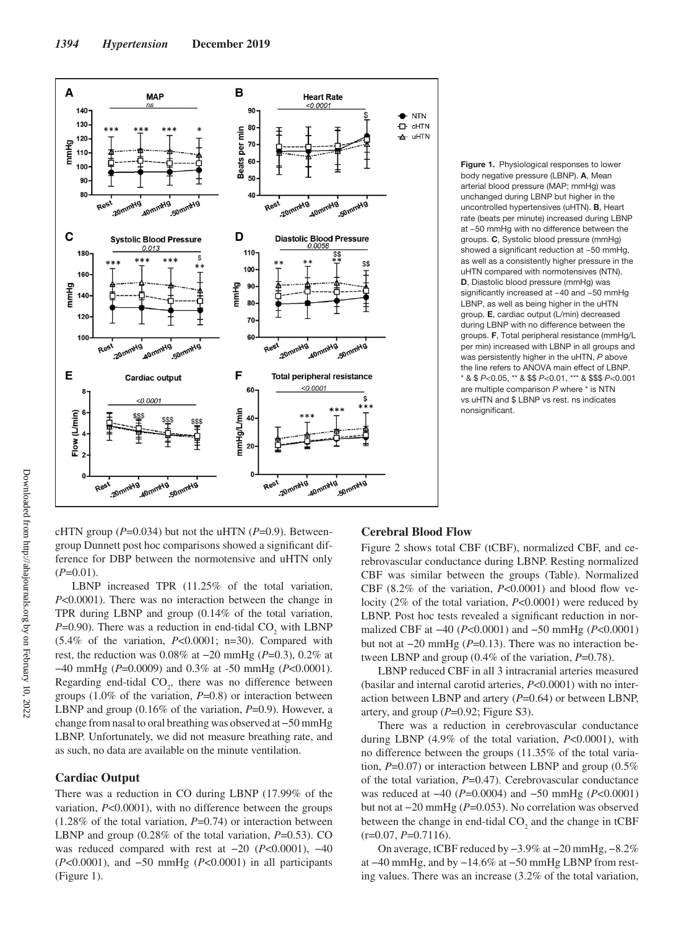

**Figure 1.** Physiological responses to lower body negative pressure (LBNP). **A**, Mean arterial blood pressure (MAP; mmHg) was unchanged during LBNP but higher in the uncontrolled hypertensives (uHTN). **B**, Heart rate (beats per minute) increased during LBNP at −50 mmHg with no difference between the groups. **C**, Systolic blood pressure (mmHg) showed a significant reduction at −50 mmHg, as well as a consistently higher pressure in the uHTN compared with normotensives (NTN). **D**, Diastolic blood pressure (mmHg) was significantly increased at −40 and −50 mmHg LBNP, as well as being higher in the uHTN group. **E**, cardiac output (L/min) decreased during LBNP with no difference between the groups. **F**, Total peripheral resistance (mmHg/L per min) increased with LBNP in all groups and was persistently higher in the uHTN, *P* above the line refers to ANOVA main effect of LBNP. \* & \$ *P*<0.05, \*\* & \$\$ *P*<0.01, \*\*\* & \$\$\$ *P*<0.001 are multiple comparison *P* where \* is NTN vs uHTN and \$ LBNP vs rest. ns indicates nonsignificant.

cHTN group  $(P=0.034)$  but not the uHTN  $(P=0.9)$ . Betweengroup Dunnett post hoc comparisons showed a significant difference for DBP between the normotensive and uHTN only  $(P=0.01)$ .

LBNP increased TPR (11.25% of the total variation, *P*<0.0001). There was no interaction between the change in TPR during LBNP and group (0.14% of the total variation,  $P=0.90$ ). There was a reduction in end-tidal  $CO_2$  with LBNP (5.4% of the variation, *P*<0.0001; n=30). Compared with rest, the reduction was 0.08% at −20 mmHg (*P*=0.3), 0.2% at −40 mmHg (*P*=0.0009) and 0.3% at -50 mmHg (*P*<0.0001). Regarding end-tidal  $CO<sub>2</sub>$ , there was no difference between groups (1.0% of the variation, *P*=0.8) or interaction between LBNP and group (0.16% of the variation, *P*=0.9). However, a change from nasal to oral breathing was observed at −50 mmHg LBNP. Unfortunately, we did not measure breathing rate, and as such, no data are available on the minute ventilation.

# **Cardiac Output**

There was a reduction in CO during LBNP (17.99% of the variation, *P*<0.0001), with no difference between the groups  $(1.28\%$  of the total variation,  $P=0.74$ ) or interaction between LBNP and group (0.28% of the total variation, *P*=0.53). CO was reduced compared with rest at −20 (*P*<0.0001), −40 (*P*<0.0001), and −50 mmHg (*P*<0.0001) in all participants (Figure 1).

#### **Cerebral Blood Flow**

Figure 2 shows total CBF (tCBF), normalized CBF, and cerebrovascular conductance during LBNP. Resting normalized CBF was similar between the groups (Table). Normalized CBF (8.2% of the variation, *P*<0.0001) and blood flow velocity (2% of the total variation, *P*<0.0001) were reduced by LBNP. Post hoc tests revealed a significant reduction in normalized CBF at −40 (*P*<0.0001) and −50 mmHg (*P*<0.0001) but not at −20 mmHg (*P*=0.13). There was no interaction between LBNP and group (0.4% of the variation,  $P=0.78$ ).

LBNP reduced CBF in all 3 intracranial arteries measured (basilar and internal carotid arteries, *P*<0.0001) with no interaction between LBNP and artery (*P*=0.64) or between LBNP, artery, and group (*P*=0.92; Figure S3).

There was a reduction in cerebrovascular conductance during LBNP (4.9% of the total variation, *P*<0.0001), with no difference between the groups (11.35% of the total variation, *P*=0.07) or interaction between LBNP and group (0.5% of the total variation, *P*=0.47). Cerebrovascular conductance was reduced at −40 (*P*=0.0004) and −50 mmHg (*P*<0.0001) but not at −20 mmHg (*P*=0.053). No correlation was observed between the change in end-tidal  $CO<sub>2</sub>$  and the change in tCBF (r=0.07, *P*=0.7116).

On average, tCBF reduced by −3.9% at −20 mmHg, −8.2% at −40 mmHg, and by −14.6% at −50 mmHg LBNP from resting values. There was an increase (3.2% of the total variation,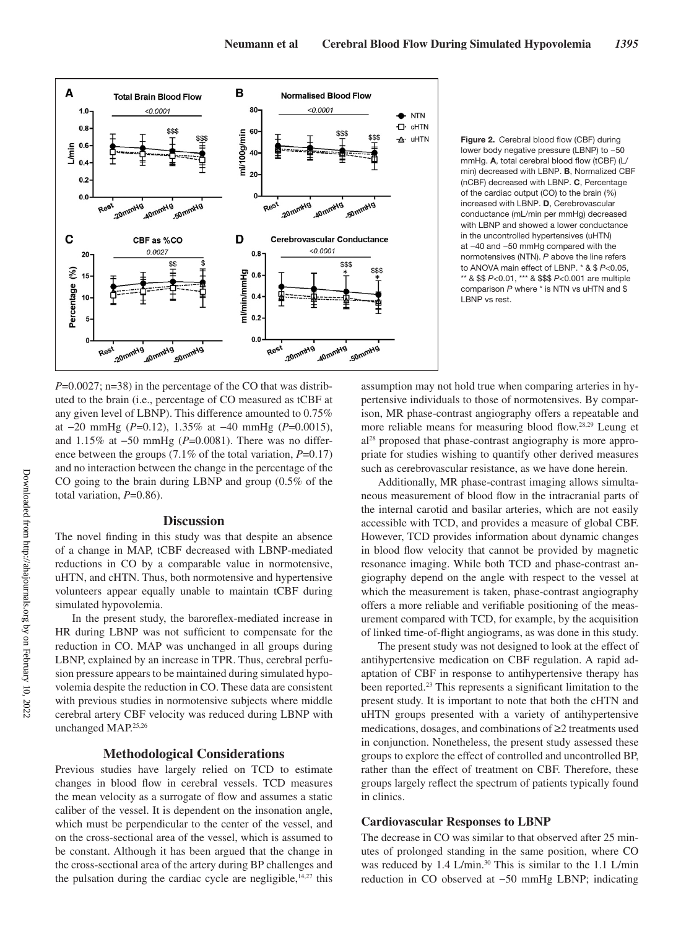

**Figure 2.** Cerebral blood flow (CBF) during lower body negative pressure (LBNP) to −50 mmHg. **A**, total cerebral blood flow (tCBF) (L/ min) decreased with LBNP. **B**, Normalized CBF (nCBF) decreased with LBNP. **C**, Percentage of the cardiac output (CO) to the brain (%) increased with LBNP. **D**, Cerebrovascular conductance (mL/min per mmHg) decreased with LBNP and showed a lower conductance in the uncontrolled hypertensives (uHTN) at −40 and −50 mmHg compared with the normotensives (NTN). *P* above the line refers to ANOVA main effect of LBNP. \* & \$ *P*<0.05, \*\* & \$\$ *P*<0.01, \*\*\* & \$\$\$ *P*<0.001 are multiple comparison *P* where \* is NTN vs uHTN and \$ LBNP vs rest.

*P*=0.0027; n=38) in the percentage of the CO that was distributed to the brain (i.e., percentage of CO measured as tCBF at any given level of LBNP). This difference amounted to 0.75% at −20 mmHg (*P*=0.12), 1.35% at −40 mmHg (*P*=0.0015), and 1.15% at −50 mmHg (*P*=0.0081). There was no difference between the groups (7.1% of the total variation, *P*=0.17) and no interaction between the change in the percentage of the CO going to the brain during LBNP and group (0.5% of the total variation, *P*=0.86).

# **Discussion**

The novel finding in this study was that despite an absence of a change in MAP, tCBF decreased with LBNP-mediated reductions in CO by a comparable value in normotensive, uHTN, and cHTN. Thus, both normotensive and hypertensive volunteers appear equally unable to maintain tCBF during simulated hypovolemia.

In the present study, the baroreflex-mediated increase in HR during LBNP was not sufficient to compensate for the reduction in CO. MAP was unchanged in all groups during LBNP, explained by an increase in TPR. Thus, cerebral perfusion pressure appears to be maintained during simulated hypovolemia despite the reduction in CO. These data are consistent with previous studies in normotensive subjects where middle cerebral artery CBF velocity was reduced during LBNP with unchanged MAP.25,26

# **Methodological Considerations**

Previous studies have largely relied on TCD to estimate changes in blood flow in cerebral vessels. TCD measures the mean velocity as a surrogate of flow and assumes a static caliber of the vessel. It is dependent on the insonation angle, which must be perpendicular to the center of the vessel, and on the cross-sectional area of the vessel, which is assumed to be constant. Although it has been argued that the change in the cross-sectional area of the artery during BP challenges and the pulsation during the cardiac cycle are negligible, $14,27$  this assumption may not hold true when comparing arteries in hypertensive individuals to those of normotensives. By comparison, MR phase-contrast angiography offers a repeatable and more reliable means for measuring blood flow.28,29 Leung et al28 proposed that phase-contrast angiography is more appropriate for studies wishing to quantify other derived measures such as cerebrovascular resistance, as we have done herein.

Additionally, MR phase-contrast imaging allows simultaneous measurement of blood flow in the intracranial parts of the internal carotid and basilar arteries, which are not easily accessible with TCD, and provides a measure of global CBF. However, TCD provides information about dynamic changes in blood flow velocity that cannot be provided by magnetic resonance imaging. While both TCD and phase-contrast angiography depend on the angle with respect to the vessel at which the measurement is taken, phase-contrast angiography offers a more reliable and verifiable positioning of the measurement compared with TCD, for example, by the acquisition of linked time-of-flight angiograms, as was done in this study.

The present study was not designed to look at the effect of antihypertensive medication on CBF regulation. A rapid adaptation of CBF in response to antihypertensive therapy has been reported.<sup>23</sup> This represents a significant limitation to the present study. It is important to note that both the cHTN and uHTN groups presented with a variety of antihypertensive medications, dosages, and combinations of ≥2 treatments used in conjunction. Nonetheless, the present study assessed these groups to explore the effect of controlled and uncontrolled BP, rather than the effect of treatment on CBF. Therefore, these groups largely reflect the spectrum of patients typically found in clinics.

## **Cardiovascular Responses to LBNP**

The decrease in CO was similar to that observed after 25 minutes of prolonged standing in the same position, where CO was reduced by 1.4 L/min.<sup>30</sup> This is similar to the 1.1 L/min reduction in CO observed at −50 mmHg LBNP; indicating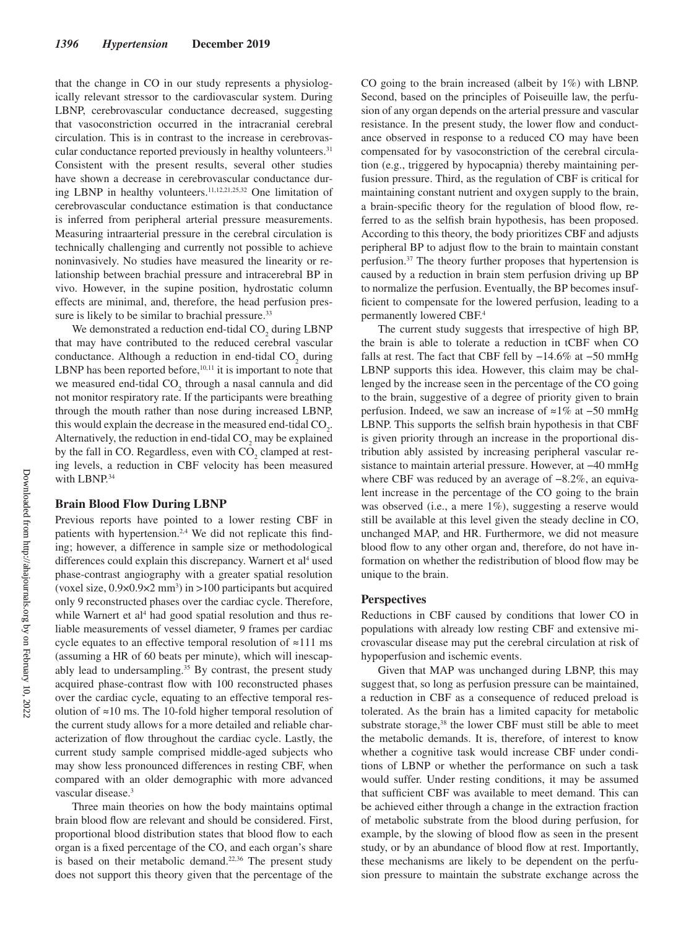that the change in CO in our study represents a physiologically relevant stressor to the cardiovascular system. During LBNP, cerebrovascular conductance decreased, suggesting that vasoconstriction occurred in the intracranial cerebral circulation. This is in contrast to the increase in cerebrovascular conductance reported previously in healthy volunteers.<sup>31</sup> Consistent with the present results, several other studies have shown a decrease in cerebrovascular conductance during LBNP in healthy volunteers.11,12,21,25,32 One limitation of cerebrovascular conductance estimation is that conductance is inferred from peripheral arterial pressure measurements. Measuring intraarterial pressure in the cerebral circulation is technically challenging and currently not possible to achieve noninvasively. No studies have measured the linearity or relationship between brachial pressure and intracerebral BP in vivo. However, in the supine position, hydrostatic column effects are minimal, and, therefore, the head perfusion pressure is likely to be similar to brachial pressure.<sup>33</sup>

We demonstrated a reduction end-tidal  $CO<sub>2</sub>$  during LBNP that may have contributed to the reduced cerebral vascular conductance. Although a reduction in end-tidal  $CO_2$  during LBNP has been reported before, $10,11$  it is important to note that we measured end-tidal  $CO_2$  through a nasal cannula and did not monitor respiratory rate. If the participants were breathing through the mouth rather than nose during increased LBNP, this would explain the decrease in the measured end-tidal  $CO<sub>2</sub>$ . Alternatively, the reduction in end-tidal  $CO_2$  may be explained by the fall in CO. Regardless, even with  $CO<sub>2</sub>$  clamped at resting levels, a reduction in CBF velocity has been measured with LBNP.<sup>34</sup>

#### **Brain Blood Flow During LBNP**

Previous reports have pointed to a lower resting CBF in patients with hypertension.<sup>2,4</sup> We did not replicate this finding; however, a difference in sample size or methodological differences could explain this discrepancy. Warnert et al<sup>4</sup> used phase-contrast angiography with a greater spatial resolution (voxel size,  $0.9 \times 0.9 \times 2$  mm<sup>3</sup>) in >100 participants but acquired only 9 reconstructed phases over the cardiac cycle. Therefore, while Warnert et al<sup>4</sup> had good spatial resolution and thus reliable measurements of vessel diameter, 9 frames per cardiac cycle equates to an effective temporal resolution of ≈111 ms (assuming a HR of 60 beats per minute), which will inescapably lead to undersampling.<sup>35</sup> By contrast, the present study acquired phase-contrast flow with 100 reconstructed phases over the cardiac cycle, equating to an effective temporal resolution of ≈10 ms. The 10-fold higher temporal resolution of the current study allows for a more detailed and reliable characterization of flow throughout the cardiac cycle. Lastly, the current study sample comprised middle-aged subjects who may show less pronounced differences in resting CBF, when compared with an older demographic with more advanced vascular disease.<sup>3</sup>

Three main theories on how the body maintains optimal brain blood flow are relevant and should be considered. First, proportional blood distribution states that blood flow to each organ is a fixed percentage of the CO, and each organ's share is based on their metabolic demand. $22,36$  The present study does not support this theory given that the percentage of the CO going to the brain increased (albeit by 1%) with LBNP. Second, based on the principles of Poiseuille law, the perfusion of any organ depends on the arterial pressure and vascular resistance. In the present study, the lower flow and conductance observed in response to a reduced CO may have been compensated for by vasoconstriction of the cerebral circulation (e.g., triggered by hypocapnia) thereby maintaining perfusion pressure. Third, as the regulation of CBF is critical for maintaining constant nutrient and oxygen supply to the brain, a brain-specific theory for the regulation of blood flow, referred to as the selfish brain hypothesis, has been proposed. According to this theory, the body prioritizes CBF and adjusts peripheral BP to adjust flow to the brain to maintain constant perfusion.37 The theory further proposes that hypertension is caused by a reduction in brain stem perfusion driving up BP to normalize the perfusion. Eventually, the BP becomes insufficient to compensate for the lowered perfusion, leading to a permanently lowered CBF.4

The current study suggests that irrespective of high BP, the brain is able to tolerate a reduction in tCBF when CO falls at rest. The fact that CBF fell by −14.6% at −50 mmHg LBNP supports this idea. However, this claim may be challenged by the increase seen in the percentage of the CO going to the brain, suggestive of a degree of priority given to brain perfusion. Indeed, we saw an increase of ≈1% at −50 mmHg LBNP. This supports the selfish brain hypothesis in that CBF is given priority through an increase in the proportional distribution ably assisted by increasing peripheral vascular resistance to maintain arterial pressure. However, at −40 mmHg where CBF was reduced by an average of −8.2%, an equivalent increase in the percentage of the CO going to the brain was observed (i.e., a mere 1%), suggesting a reserve would still be available at this level given the steady decline in CO, unchanged MAP, and HR. Furthermore, we did not measure blood flow to any other organ and, therefore, do not have information on whether the redistribution of blood flow may be unique to the brain.

# **Perspectives**

Reductions in CBF caused by conditions that lower CO in populations with already low resting CBF and extensive microvascular disease may put the cerebral circulation at risk of hypoperfusion and ischemic events.

Given that MAP was unchanged during LBNP, this may suggest that, so long as perfusion pressure can be maintained, a reduction in CBF as a consequence of reduced preload is tolerated. As the brain has a limited capacity for metabolic substrate storage,<sup>38</sup> the lower CBF must still be able to meet the metabolic demands. It is, therefore, of interest to know whether a cognitive task would increase CBF under conditions of LBNP or whether the performance on such a task would suffer. Under resting conditions, it may be assumed that sufficient CBF was available to meet demand. This can be achieved either through a change in the extraction fraction of metabolic substrate from the blood during perfusion, for example, by the slowing of blood flow as seen in the present study, or by an abundance of blood flow at rest. Importantly, these mechanisms are likely to be dependent on the perfusion pressure to maintain the substrate exchange across the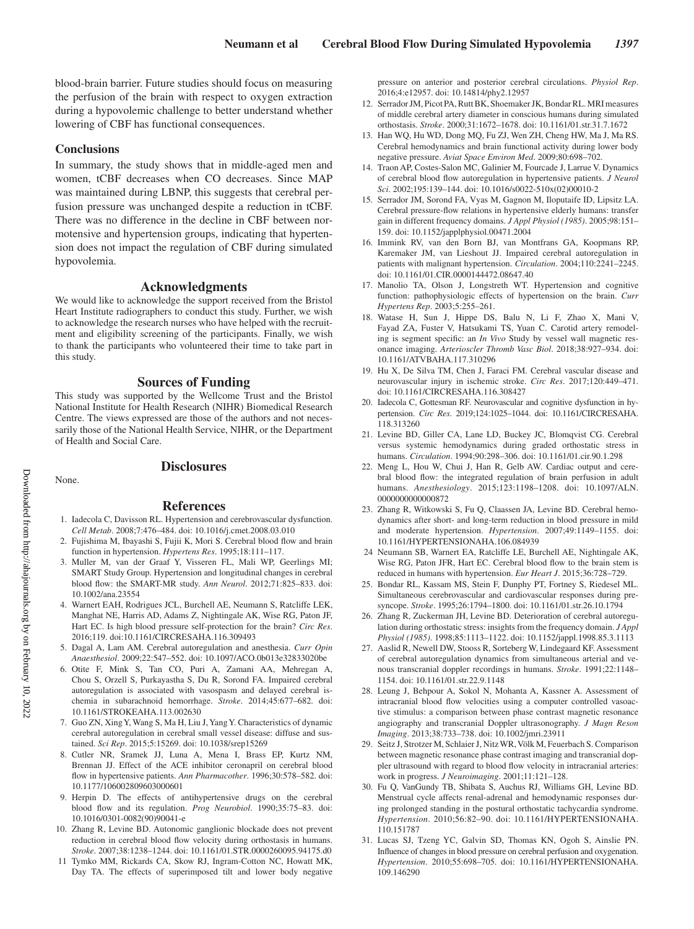blood-brain barrier. Future studies should focus on measuring the perfusion of the brain with respect to oxygen extraction during a hypovolemic challenge to better understand whether lowering of CBF has functional consequences.

#### **Conclusions**

In summary, the study shows that in middle-aged men and women, tCBF decreases when CO decreases. Since MAP was maintained during LBNP, this suggests that cerebral perfusion pressure was unchanged despite a reduction in tCBF. There was no difference in the decline in CBF between normotensive and hypertension groups, indicating that hypertension does not impact the regulation of CBF during simulated hypovolemia.

# **Acknowledgments**

We would like to acknowledge the support received from the Bristol Heart Institute radiographers to conduct this study. Further, we wish to acknowledge the research nurses who have helped with the recruitment and eligibility screening of the participants. Finally, we wish to thank the participants who volunteered their time to take part in this study.

## **Sources of Funding**

This study was supported by the Wellcome Trust and the Bristol National Institute for Health Research (NIHR) Biomedical Research Centre. The views expressed are those of the authors and not necessarily those of the National Health Service, NIHR, or the Department of Health and Social Care.

None.

# **Disclosures**

#### **References**

- 1. Iadecola C, Davisson RL. Hypertension and cerebrovascular dysfunction. *Cell Metab*. 2008;7:476–484. doi: 10.1016/j.cmet.2008.03.010
- 2. Fujishima M, Ibayashi S, Fujii K, Mori S. Cerebral blood flow and brain function in hypertension. *Hypertens Res*. 1995;18:111–117.
- 3. Muller M, van der Graaf Y, Visseren FL, Mali WP, Geerlings MI; SMART Study Group. Hypertension and longitudinal changes in cerebral blood flow: the SMART-MR study. *Ann Neurol*. 2012;71:825–833. doi: 10.1002/ana.23554
- 4. Warnert EAH, Rodrigues JCL, Burchell AE, Neumann S, Ratcliffe LEK, Manghat NE, Harris AD, Adams Z, Nightingale AK, Wise RG, Paton JF, Hart EC. Is high blood pressure self-protection for the brain? *Circ Res*. 2016;119. doi:10.1161/CIRCRESAHA.116.309493
- 5. Dagal A, Lam AM. Cerebral autoregulation and anesthesia. *Curr Opin Anaesthesiol*. 2009;22:547–552. doi: 10.1097/ACO.0b013e32833020be
- 6. Otite F, Mink S, Tan CO, Puri A, Zamani AA, Mehregan A, Chou S, Orzell S, Purkayastha S, Du R, Sorond FA. Impaired cerebral autoregulation is associated with vasospasm and delayed cerebral ischemia in subarachnoid hemorrhage. *Stroke*. 2014;45:677–682. doi: 10.1161/STROKEAHA.113.002630
- 7. Guo ZN, Xing Y, Wang S, Ma H, Liu J, Yang Y. Characteristics of dynamic cerebral autoregulation in cerebral small vessel disease: diffuse and sustained. *Sci Rep*. 2015;5:15269. doi: 10.1038/srep15269
- 8. Cutler NR, Sramek JJ, Luna A, Mena I, Brass EP, Kurtz NM, Brennan JJ. Effect of the ACE inhibitor ceronapril on cerebral blood flow in hypertensive patients. *Ann Pharmacother*. 1996;30:578–582. doi: 10.1177/106002809603000601
- 9. Herpin D. The effects of antihypertensive drugs on the cerebral blood flow and its regulation. *Prog Neurobiol*. 1990;35:75–83. doi: 10.1016/0301-0082(90)90041-e
- 10. Zhang R, Levine BD. Autonomic ganglionic blockade does not prevent reduction in cerebral blood flow velocity during orthostasis in humans. *Stroke*. 2007;38:1238–1244. doi: 10.1161/01.STR.0000260095.94175.d0
- 11 Tymko MM, Rickards CA, Skow RJ, Ingram-Cotton NC, Howatt MK, Day TA. The effects of superimposed tilt and lower body negative

pressure on anterior and posterior cerebral circulations. *Physiol Rep*. 2016;4:e12957. doi: 10.14814/phy2.12957

- 12. Serrador JM, Picot PA, Rutt BK, Shoemaker JK, Bondar RL. MRI measures of middle cerebral artery diameter in conscious humans during simulated orthostasis. *Stroke*. 2000;31:1672–1678. doi: 10.1161/01.str.31.7.1672
- 13. Han WQ, Hu WD, Dong MQ, Fu ZJ, Wen ZH, Cheng HW, Ma J, Ma RS. Cerebral hemodynamics and brain functional activity during lower body negative pressure. *Aviat Space Environ Med*. 2009;80:698–702.
- 14. Traon AP, Costes-Salon MC, Galinier M, Fourcade J, Larrue V. Dynamics of cerebral blood flow autoregulation in hypertensive patients. *J Neurol Sci*. 2002;195:139–144. doi: 10.1016/s0022-510x(02)00010-2
- 15. Serrador JM, Sorond FA, Vyas M, Gagnon M, Iloputaife ID, Lipsitz LA. Cerebral pressure-flow relations in hypertensive elderly humans: transfer gain in different frequency domains. *J Appl Physiol (1985)*. 2005;98:151– 159. doi: 10.1152/japplphysiol.00471.2004
- 16. Immink RV, van den Born BJ, van Montfrans GA, Koopmans RP, Karemaker JM, van Lieshout JJ. Impaired cerebral autoregulation in patients with malignant hypertension. *Circulation*. 2004;110:2241–2245. doi: 10.1161/01.CIR.0000144472.08647.40
- 17. Manolio TA, Olson J, Longstreth WT. Hypertension and cognitive function: pathophysiologic effects of hypertension on the brain. *Curr Hypertens Rep*. 2003;5:255–261.
- 18. Watase H, Sun J, Hippe DS, Balu N, Li F, Zhao X, Mani V, Fayad ZA, Fuster V, Hatsukami TS, Yuan C. Carotid artery remodeling is segment specific: an *In Vivo* Study by vessel wall magnetic resonance imaging. *Arterioscler Thromb Vasc Biol*. 2018;38:927–934. doi: 10.1161/ATVBAHA.117.310296
- 19. Hu X, De Silva TM, Chen J, Faraci FM. Cerebral vascular disease and neurovascular injury in ischemic stroke. *Circ Res*. 2017;120:449–471. doi: 10.1161/CIRCRESAHA.116.308427
- 20. Iadecola C, Gottesman RF. Neurovascular and cognitive dysfunction in hypertension. *Circ Res*. 2019;124:1025–1044. doi: 10.1161/CIRCRESAHA. 118.313260
- 21. Levine BD, Giller CA, Lane LD, Buckey JC, Blomqvist CG. Cerebral versus systemic hemodynamics during graded orthostatic stress in humans. *Circulation*. 1994;90:298–306. doi: 10.1161/01.cir.90.1.298
- 22. Meng L, Hou W, Chui J, Han R, Gelb AW. Cardiac output and cerebral blood flow: the integrated regulation of brain perfusion in adult humans. *Anesthesiology*. 2015;123:1198–1208. doi: 10.1097/ALN. 0000000000000872
- 23. Zhang R, Witkowski S, Fu Q, Claassen JA, Levine BD. Cerebral hemodynamics after short- and long-term reduction in blood pressure in mild and moderate hypertension. *Hypertension*. 2007;49:1149–1155. doi: 10.1161/HYPERTENSIONAHA.106.084939
- 24 Neumann SB, Warnert EA, Ratcliffe LE, Burchell AE, Nightingale AK, Wise RG, Paton JFR, Hart EC. Cerebral blood flow to the brain stem is reduced in humans with hypertension. *Eur Heart J*. 2015;36:728–729.
- 25. Bondar RL, Kassam MS, Stein F, Dunphy PT, Fortney S, Riedesel ML. Simultaneous cerebrovascular and cardiovascular responses during presyncope. *Stroke*. 1995;26:1794–1800. doi: 10.1161/01.str.26.10.1794
- 26. Zhang R, Zuckerman JH, Levine BD. Deterioration of cerebral autoregulation during orthostatic stress: insights from the frequency domain. *J Appl Physiol (1985)*. 1998;85:1113–1122. doi: 10.1152/jappl.1998.85.3.1113
- 27. Aaslid R, Newell DW, Stooss R, Sorteberg W, Lindegaard KF. Assessment of cerebral autoregulation dynamics from simultaneous arterial and venous transcranial doppler recordings in humans. *Stroke*. 1991;22:1148– 1154. doi: 10.1161/01.str.22.9.1148
- 28. Leung J, Behpour A, Sokol N, Mohanta A, Kassner A. Assessment of intracranial blood flow velocities using a computer controlled vasoactive stimulus: a comparison between phase contrast magnetic resonance angiography and transcranial Doppler ultrasonography. *J Magn Reson Imaging*. 2013;38:733–738. doi: 10.1002/jmri.23911
- 29. Seitz J, Strotzer M, Schlaier J, Nitz WR, Völk M, Feuerbach S. Comparison between magnetic resonance phase contrast imaging and transcranial doppler ultrasound with regard to blood flow velocity in intracranial arteries: work in progress. *J Neuroimaging*. 2001;11:121–128.
- 30. Fu Q, VanGundy TB, Shibata S, Auchus RJ, Williams GH, Levine BD. Menstrual cycle affects renal-adrenal and hemodynamic responses during prolonged standing in the postural orthostatic tachycardia syndrome. *Hypertension*. 2010;56:82–90. doi: 10.1161/HYPERTENSIONAHA. 110.151787
- 31. Lucas SJ, Tzeng YC, Galvin SD, Thomas KN, Ogoh S, Ainslie PN. Influence of changes in blood pressure on cerebral perfusion and oxygenation. *Hypertension*. 2010;55:698–705. doi: 10.1161/HYPERTENSIONAHA. 109.146290